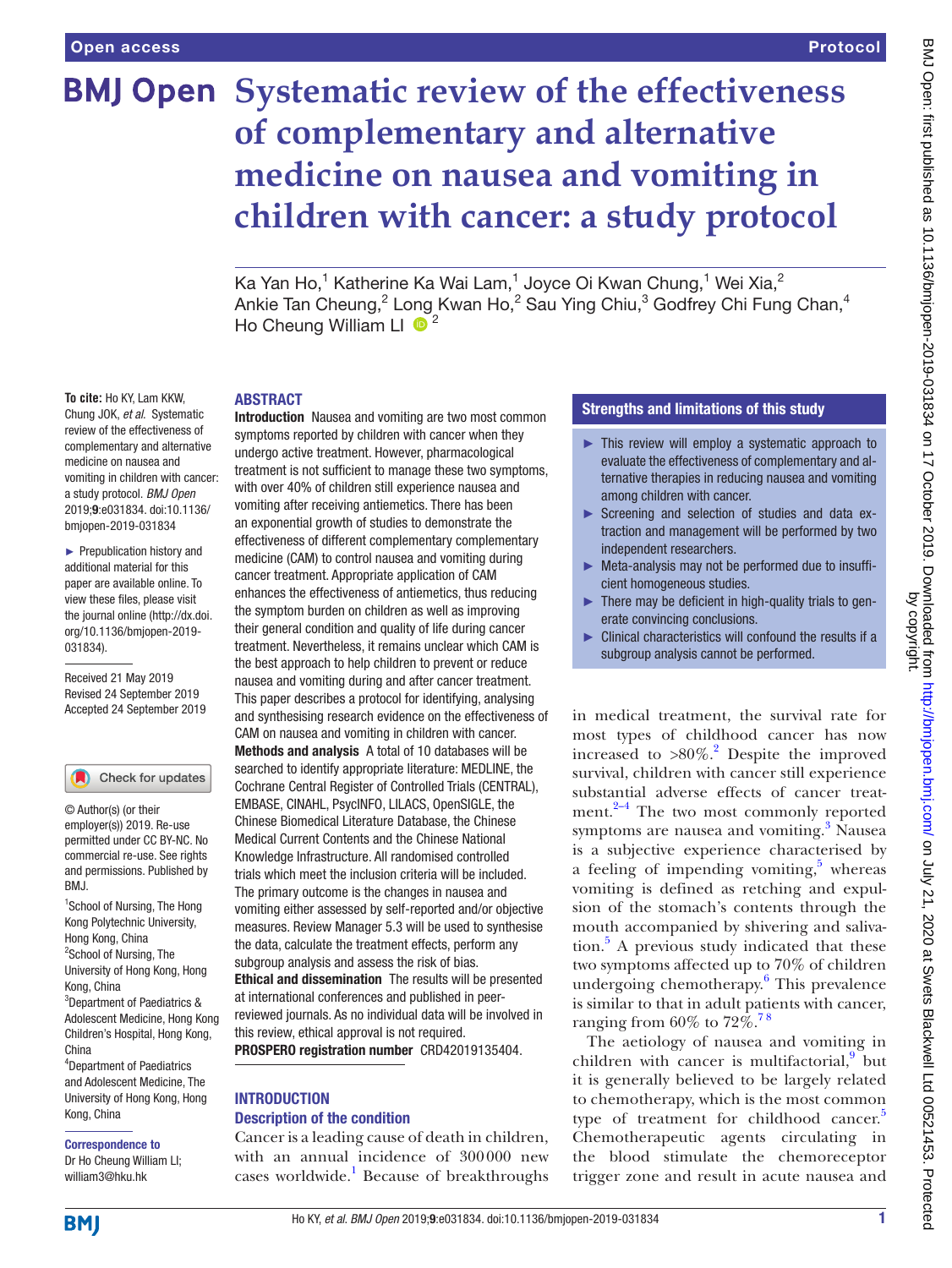# **BMJ Open Systematic review of the effectiveness of complementary and alternative medicine on nausea and vomiting in children with cancer: a study protocol**

Ka Yan Ho,<sup>1</sup> Katherine Ka Wai Lam,<sup>1</sup> Joyce Oi Kwan Chung,<sup>1</sup> Wei Xia,<sup>2</sup> Ankie Tan Cheung, $^2$  Long Kwan Ho, $^2$  Sau Ying Chiu, $^3$  Godfrey Chi Fung Chan, $^4$ Ho Cheung William LI  $\mathbf{D}^2$ 

#### **ABSTRACT**

**To cite:** Ho KY, Lam KKW, Chung JOK, *et al*. Systematic review of the effectiveness of complementary and alternative medicine on nausea and vomiting in children with cancer: a study protocol. *BMJ Open* 2019;9:e031834. doi:10.1136/ bmjopen-2019-031834

► Prepublication history and additional material for this paper are available online. To view these files, please visit the journal online (http://dx.doi. org/10.1136/bmjopen-2019- 031834).

Received 21 May 2019 Revised 24 September 2019 Accepted 24 September 2019

#### Check for updates

© Author(s) (or their employer(s)) 2019. Re-use permitted under CC BY-NC. No commercial re-use. See rights and permissions. Published by BMJ.

<sup>1</sup>School of Nursing, The Hong Kong Polytechnic University, Hong Kong, China <sup>2</sup>School of Nursing, The University of Hong Kong, Hong Kong, China 3 Department of Paediatrics & Adolescent Medicine, Hong Kong Children's Hospital, Hong Kong, China

4 Department of Paediatrics and Adolescent Medicine, The University of Hong Kong, Hong Kong, China

# Correspondence to

Dr Ho Cheung William LI; william3@hku.hk

Introduction Nausea and vomiting are two most common symptoms reported by children with cancer when they undergo active treatment. However, pharmacological treatment is not sufficient to manage these two symptoms, with over 40% of children still experience nausea and vomiting after receiving antiemetics. There has been an exponential growth of studies to demonstrate the effectiveness of different complementary complementary medicine (CAM) to control nausea and vomiting during cancer treatment. Appropriate application of CAM enhances the effectiveness of antiemetics, thus reducing the symptom burden on children as well as improving their general condition and quality of life during cancer treatment. Nevertheless, it remains unclear which CAM is the best approach to help children to prevent or reduce nausea and vomiting during and after cancer treatment. This paper describes a protocol for identifying, analysing and synthesising research evidence on the effectiveness of CAM on nausea and vomiting in children with cancer. Methods and analysis A total of 10 databases will be searched to identify appropriate literature: MEDLINE, the Cochrane Central Register of Controlled Trials (CENTRAL), EMBASE, CINAHL, PsycINFO, LILACS, OpenSIGLE, the Chinese Biomedical Literature Database, the Chinese Medical Current Contents and the Chinese National Knowledge Infrastructure. All randomised controlled trials which meet the inclusion criteria will be included. The primary outcome is the changes in nausea and vomiting either assessed by self-reported and/or objective measures. Review Manager 5.3 will be used to synthesise the data, calculate the treatment effects, perform any subgroup analysis and assess the risk of bias. Ethical and dissemination The results will be presented at international conferences and published in peerreviewed journals. As no individual data will be involved in this review, ethical approval is not required.

PROSPERO registration number CRD42019135404.

### **INTRODUCTION** Description of the condition

Cancer is a leading cause of death in children, with an annual incidence of 300000 new cases worldwide.<sup>[1](#page-4-0)</sup> Because of breakthroughs

#### Strengths and limitations of this study

- ► This review will employ a systematic approach to evaluate the effectiveness of complementary and alternative therapies in reducing nausea and vomiting among children with cancer.
- ► Screening and selection of studies and data extraction and management will be performed by two independent researchers.
- ► Meta-analysis may not be performed due to insufficient homogeneous studies.
- ► There may be deficient in high-quality trials to generate convincing conclusions.
- ► Clinical characteristics will confound the results if a subgroup analysis cannot be performed.

in medical treatment, the survival rate for most types of childhood cancer has now increased to  $>80\%$ .<sup>[2](#page-4-1)</sup> Despite the improved survival, children with cancer still experience substantial adverse effects of cancer treatment. $2-4$  The two most commonly reported symptoms are nausea and vomiting.<sup>3</sup> Nausea is a subjective experience characterised by a feeling of impending vomiting, $5$  whereas vomiting is defined as retching and expulsion of the stomach's contents through the mouth accompanied by shivering and saliva-tion.<sup>[5](#page-5-1)</sup> A previous study indicated that these two symptoms affected up to 70% of children undergoing chemotherapy.<sup>6</sup> This prevalence is similar to that in adult patients with cancer, ranging from 60% to  $72\%$ .<sup>78</sup>

The aetiology of nausea and vomiting in children with cancer is multifactorial, $9$  but it is generally believed to be largely related to chemotherapy, which is the most common type of treatment for childhood cancer.<sup>[5](#page-5-1)</sup> Chemotherapeutic agents circulating in the blood stimulate the chemoreceptor trigger zone and result in acute nausea and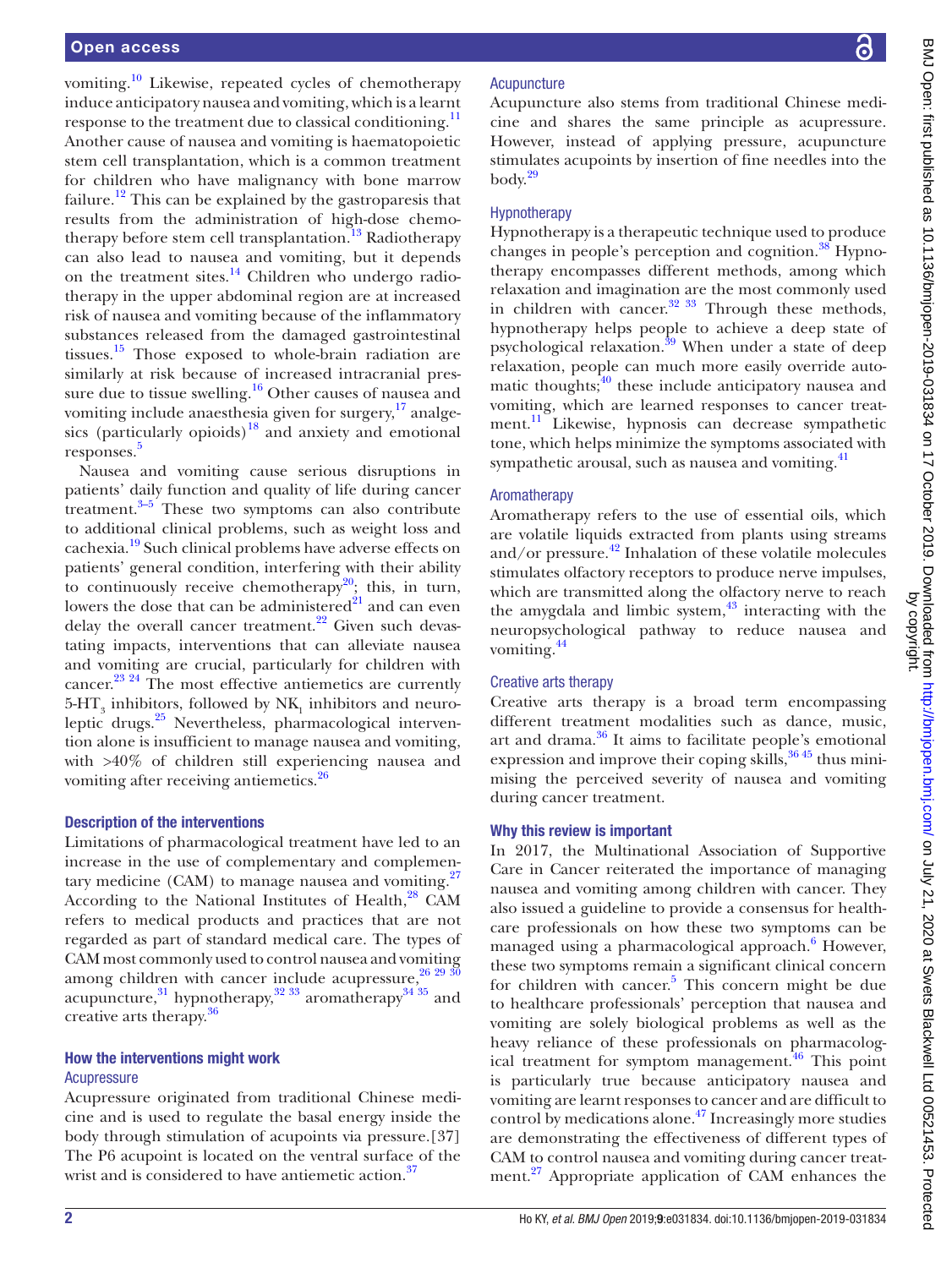vomiting.[10](#page-5-5) Likewise, repeated cycles of chemotherapy induce anticipatory nausea and vomiting, which is a learnt response to the treatment due to classical conditioning.[11](#page-5-6) Another cause of nausea and vomiting is haematopoietic stem cell transplantation, which is a common treatment for children who have malignancy with bone marrow failure.<sup>12</sup> This can be explained by the gastroparesis that results from the administration of high-dose chemo-therapy before stem cell transplantation.<sup>[13](#page-5-8)</sup> Radiotherapy can also lead to nausea and vomiting, but it depends on the treatment sites. $14$  Children who undergo radiotherapy in the upper abdominal region are at increased risk of nausea and vomiting because of the inflammatory substances released from the damaged gastrointestinal tissues.[15](#page-5-10) Those exposed to whole-brain radiation are similarly at risk because of increased intracranial pressure due to tissue swelling. $16$  Other causes of nausea and vomiting include anaesthesia given for surgery, $17$  analgesics (particularly opioids) $18$  and anxiety and emotional responses. [5](#page-5-1)

Nausea and vomiting cause serious disruptions in patients' daily function and quality of life during cancer treatment. $3-5$  These two symptoms can also contribute to additional clinical problems, such as weight loss and cachexia.[19](#page-5-14) Such clinical problems have adverse effects on patients' general condition, interfering with their ability to continuously receive chemotherapy<sup>20</sup>; this, in turn, lowers the dose that can be administered $^{21}$  and can even delay the overall cancer treatment.<sup>22</sup> Given such devastating impacts, interventions that can alleviate nausea and vomiting are crucial, particularly for children with cancer.[23 24](#page-5-18) The most effective antiemetics are currently  $5-\text{HT}_3$  inhibitors, followed by NK<sub>1</sub> inhibitors and neuroleptic drugs.<sup>25</sup> Nevertheless, pharmacological intervention alone is insufficient to manage nausea and vomiting, with >40% of children still experiencing nausea and vomiting after receiving antiemetics.<sup>[26](#page-5-20)</sup>

#### Description of the interventions

Limitations of pharmacological treatment have led to an increase in the use of complementary and complementary medicine (CAM) to manage nausea and vomiting. $27$ According to the National Institutes of Health, $^{28}$  CAM refers to medical products and practices that are not regarded as part of standard medical care. The types of CAM most commonly used to control nausea and vomiting among children with cancer include acupressure,  $26\frac{29\frac{30}{30}}{29\frac{30}{30}}$ acupuncture, $31$  hypnotherapy, $32$   $33$  aromatherapy $34$   $35$  and creative arts therapy.[36](#page-5-26)

#### How the interventions might work Acupressure

Acupressure originated from traditional Chinese medicine and is used to regulate the basal energy inside the body through stimulation of acupoints via pressure.[37] The P6 acupoint is located on the ventral surface of the wrist and is considered to have antiemetic action.<sup>37</sup>

# **Acupuncture**

Acupuncture also stems from traditional Chinese medicine and shares the same principle as acupressure. However, instead of applying pressure, acupuncture stimulates acupoints by insertion of fine needles into the body.[29](#page-5-28)

## Hypnotherapy

Hypnotherapy is a therapeutic technique used to produce changes in people's perception and cognition.<sup>38</sup> Hypnotherapy encompasses different methods, among which relaxation and imagination are the most commonly used in children with cancer.<sup>32 33</sup> Through these methods, hypnotherapy helps people to achieve a deep state of psychological relaxation.<sup>39</sup> When under a state of deep relaxation, people can much more easily override automatic thoughts; $40$  these include anticipatory nausea and vomiting, which are learned responses to cancer treatment.<sup>11</sup> Likewise, hypnosis can decrease sympathetic tone, which helps minimize the symptoms associated with sympathetic arousal, such as nausea and vomiting. $41$ 

# Aromatherapy

Aromatherapy refers to the use of essential oils, which are volatile liquids extracted from plants using streams and/or pressure. $42$  Inhalation of these volatile molecules stimulates olfactory receptors to produce nerve impulses, which are transmitted along the olfactory nerve to reach the amygdala and limbic system, $^{43}$  interacting with the neuropsychological pathway to reduce nausea and vomiting.[44](#page-5-35)

# Creative arts therapy

Creative arts therapy is a broad term encompassing different treatment modalities such as dance, music, art and drama. $36$  It aims to facilitate people's emotional expression and improve their coping skills,  $36\frac{45}{10}$  thus minimising the perceived severity of nausea and vomiting during cancer treatment.

### Why this review is important

In 2017, the Multinational Association of Supportive Care in Cancer reiterated the importance of managing nausea and vomiting among children with cancer. They also issued a guideline to provide a consensus for healthcare professionals on how these two symptoms can be managed using a pharmacological approach.<sup>6</sup> However, these two symptoms remain a significant clinical concern for children with cancer.<sup>[5](#page-5-1)</sup> This concern might be due to healthcare professionals' perception that nausea and vomiting are solely biological problems as well as the heavy reliance of these professionals on pharmacological treatment for symptom management. $46$  This point is particularly true because anticipatory nausea and vomiting are learnt responses to cancer and are difficult to control by medications alone[.47](#page-5-37) Increasingly more studies are demonstrating the effectiveness of different types of CAM to control nausea and vomiting during cancer treatment.<sup>27</sup> Appropriate application of CAM enhances the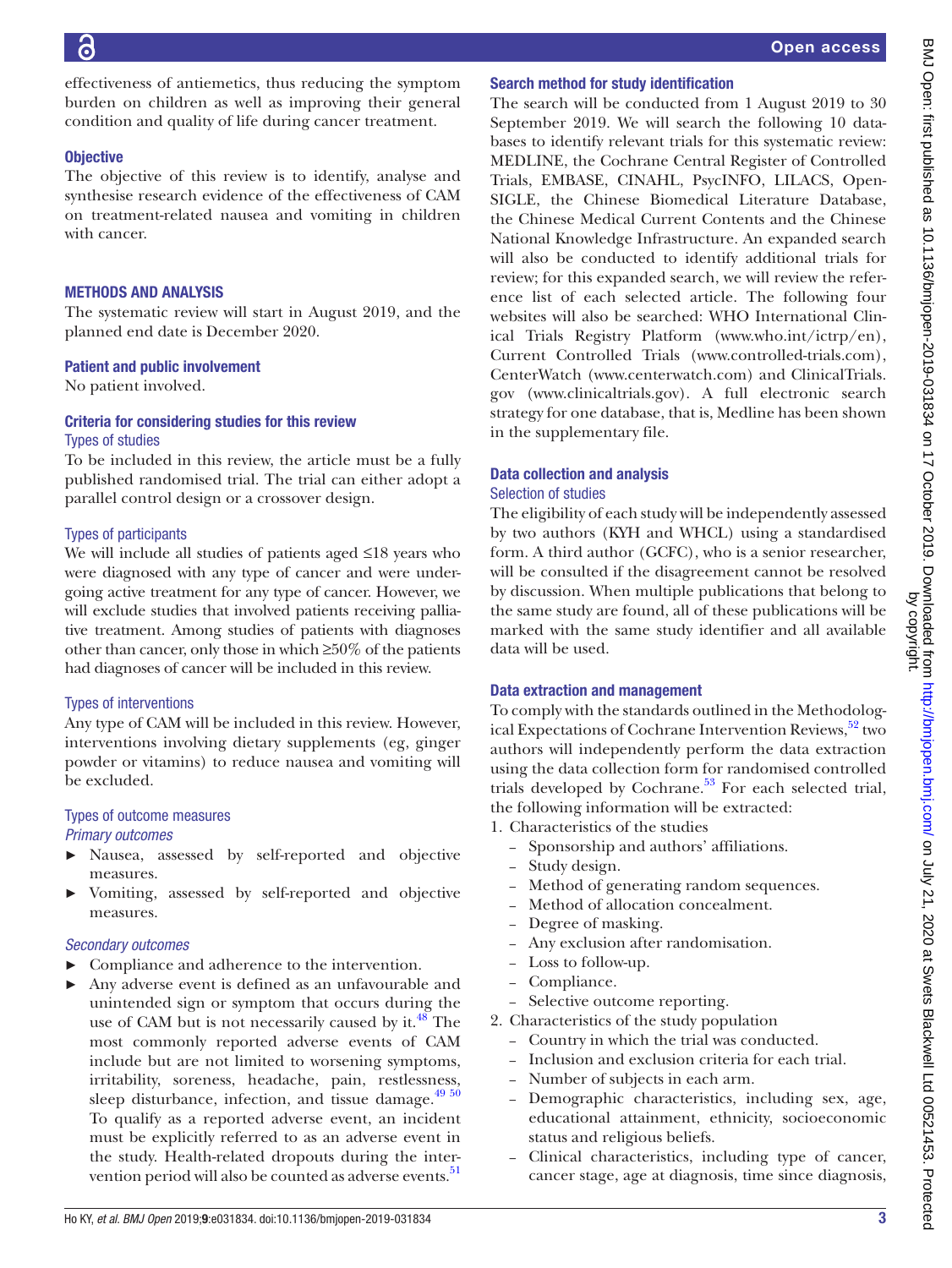effectiveness of antiemetics, thus reducing the symptom burden on children as well as improving their general condition and quality of life during cancer treatment.

## **Objective**

The objective of this review is to identify, analyse and synthesise research evidence of the effectiveness of CAM on treatment-related nausea and vomiting in children with cancer.

## Methods and analysis

The systematic review will start in August 2019, and the planned end date is December 2020.

### Patient and public involvement

No patient involved.

# Criteria for considering studies for this review Types of studies

To be included in this review, the article must be a fully published randomised trial. The trial can either adopt a parallel control design or a crossover design.

# Types of participants

We will include all studies of patients aged ≤18 years who were diagnosed with any type of cancer and were undergoing active treatment for any type of cancer. However, we will exclude studies that involved patients receiving palliative treatment. Among studies of patients with diagnoses other than cancer, only those in which ≥50% of the patients had diagnoses of cancer will be included in this review.

# Types of interventions

Any type of CAM will be included in this review. However, interventions involving dietary supplements (eg, ginger powder or vitamins) to reduce nausea and vomiting will be excluded.

#### Types of outcome measures *Primary outcomes*

- ► Nausea, assessed by self-reported and objective measures.
- ► Vomiting, assessed by self-reported and objective measures.

### *Secondary outcomes*

- ► Compliance and adherence to the intervention.
- Any adverse event is defined as an unfavourable and unintended sign or symptom that occurs during the use of CAM but is not necessarily caused by it.<sup>48</sup> The most commonly reported adverse events of CAM include but are not limited to worsening symptoms, irritability, soreness, headache, pain, restlessness, sleep disturbance, infection, and tissue damage. $49\,50$ To qualify as a reported adverse event, an incident must be explicitly referred to as an adverse event in the study. Health-related dropouts during the intervention period will also be counted as adverse events.<sup>51</sup>

# Search method for study identification

The search will be conducted from 1 August 2019 to 30 September 2019. We will search the following 10 databases to identify relevant trials for this systematic review: MEDLINE, the Cochrane Central Register of Controlled Trials, EMBASE, CINAHL, PsycINFO, LILACS, Open-SIGLE, the Chinese Biomedical Literature Database, the Chinese Medical Current Contents and the Chinese National Knowledge Infrastructure. An expanded search will also be conducted to identify additional trials for review; for this expanded search, we will review the reference list of each selected article. The following four websites will also be searched: WHO International Clinical Trials Registry Platform [\(www.who.int/ictrp/en\)](www.who.int/ictrp/en), Current Controlled Trials [\(www.controlled-trials.com\)](www.controlled-trials.com), CenterWatch (<www.centerwatch.com>) and ClinicalTrials. gov ([www.clinicaltrials.gov\)](www.clinicaltrials.gov). A full electronic search strategy for one database, that is, Medline has been shown in the [supplementary file](https://dx.doi.org/10.1136/bmjopen-2019-031834).

# Data collection and analysis

### Selection of studies

The eligibility of each study will be independently assessed by two authors (KYH and WHCL) using a standardised form. A third author (GCFC), who is a senior researcher, will be consulted if the disagreement cannot be resolved by discussion. When multiple publications that belong to the same study are found, all of these publications will be marked with the same study identifier and all available data will be used.

# Data extraction and management

To comply with the standards outlined in the Methodological Expectations of Cochrane Intervention Reviews,  $52$  two authors will independently perform the data extraction using the data collection form for randomised controlled trials developed by Cochrane. $53$  For each selected trial, the following information will be extracted:

- 1. Characteristics of the studies
	- Sponsorship and authors' affiliations.
	- Study design.
	- Method of generating random sequences.
	- Method of allocation concealment.
	- Degree of masking.
	- Any exclusion after randomisation.
	- Loss to follow-up.
	- Compliance.

– Selective outcome reporting.

- 2. Characteristics of the study population
	- Country in which the trial was conducted.
	- Inclusion and exclusion criteria for each trial.
	- Number of subjects in each arm.
	- Demographic characteristics, including sex, age, educational attainment, ethnicity, socioeconomic status and religious beliefs.
	- Clinical characteristics, including type of cancer, cancer stage, age at diagnosis, time since diagnosis,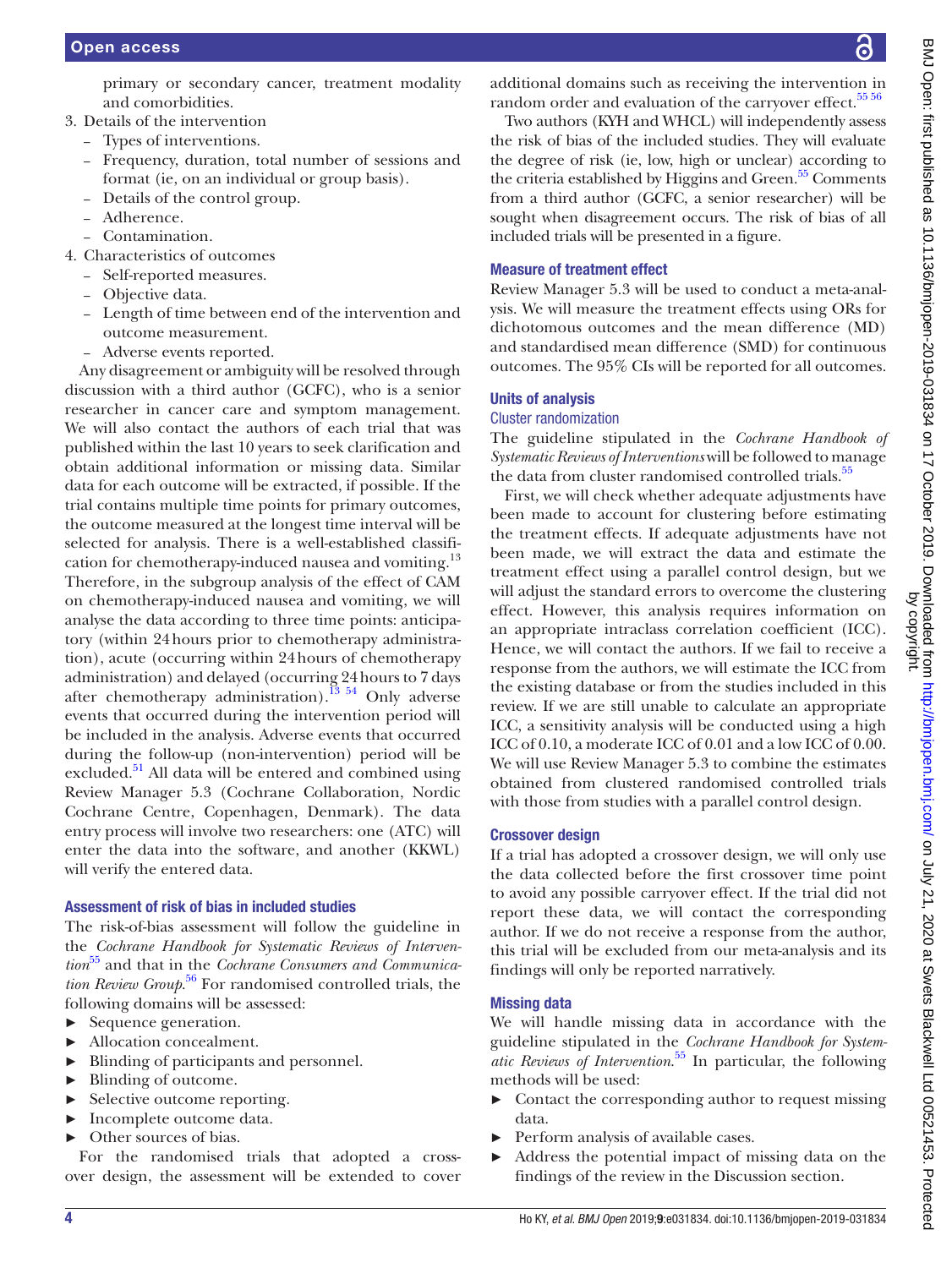primary or secondary cancer, treatment modality and comorbidities.

- 3. Details of the intervention
	- Types of interventions.
	- Frequency, duration, total number of sessions and format (ie, on an individual or group basis).
	- Details of the control group.
	- Adherence.
- Contamination.
- 4. Characteristics of outcomes
	- Self-reported measures.
	- Objective data.
	- Length of time between end of the intervention and outcome measurement.
	- Adverse events reported.

Any disagreement or ambiguity will be resolved through discussion with a third author (GCFC), who is a senior researcher in cancer care and symptom management. We will also contact the authors of each trial that was published within the last 10 years to seek clarification and obtain additional information or missing data. Similar data for each outcome will be extracted, if possible. If the trial contains multiple time points for primary outcomes, the outcome measured at the longest time interval will be selected for analysis. There is a well-established classification for chemotherapy-induced nausea and vomiting.<sup>13</sup> Therefore, in the subgroup analysis of the effect of CAM on chemotherapy-induced nausea and vomiting, we will analyse the data according to three time points: anticipatory (within 24hours prior to chemotherapy administration), acute (occurring within 24hours of chemotherapy administration) and delayed (occurring 24hours to 7 days after chemotherapy administration).<sup>[13 54](#page-5-8)</sup> Only adverse events that occurred during the intervention period will be included in the analysis. Adverse events that occurred during the follow-up (non-intervention) period will be excluded.<sup>51</sup> All data will be entered and combined using Review Manager 5.3 (Cochrane Collaboration, Nordic Cochrane Centre, Copenhagen, Denmark). The data entry process will involve two researchers: one (ATC) will enter the data into the software, and another (KKWL) will verify the entered data.

#### Assessment of risk of bias in included studies

The risk-of-bias assessment will follow the guideline in the *Cochrane Handbook for Systematic Reviews of Intervention*[55](#page-6-0) and that in the *Cochrane Consumers and Communication Review Group*. [56](#page-6-1) For randomised controlled trials, the following domains will be assessed:

- ► Sequence generation.
- ► Allocation concealment.
- ► Blinding of participants and personnel.
- ► Blinding of outcome.
- ► Selective outcome reporting.
- ► Incomplete outcome data.
- ► Other sources of bias.

For the randomised trials that adopted a crossover design, the assessment will be extended to cover

additional domains such as receiving the intervention in random order and evaluation of the carryover effect.<sup>55 56</sup>

Two authors (KYH and WHCL) will independently assess the risk of bias of the included studies. They will evaluate the degree of risk (ie, low, high or unclear) according to the criteria established by Higgins and Green.<sup>55</sup> Comments from a third author (GCFC, a senior researcher) will be sought when disagreement occurs. The risk of bias of all included trials will be presented in a figure.

#### Measure of treatment effect

Review Manager 5.3 will be used to conduct a meta-analysis. We will measure the treatment effects using ORs for dichotomous outcomes and the mean difference (MD) and standardised mean difference (SMD) for continuous outcomes. The 95% CIs will be reported for all outcomes.

#### Units of analysis

#### Cluster randomization

The guideline stipulated in the *Cochrane Handbook of Systematic Reviews of Interventions* will be followed to manage the data from cluster randomised controlled trials.<sup>[55](#page-6-0)</sup>

First, we will check whether adequate adjustments have been made to account for clustering before estimating the treatment effects. If adequate adjustments have not been made, we will extract the data and estimate the treatment effect using a parallel control design, but we will adjust the standard errors to overcome the clustering effect. However, this analysis requires information on an appropriate intraclass correlation coefficient (ICC). Hence, we will contact the authors. If we fail to receive a response from the authors, we will estimate the ICC from the existing database or from the studies included in this review. If we are still unable to calculate an appropriate ICC, a sensitivity analysis will be conducted using a high ICC of 0.10, a moderate ICC of 0.01 and a low ICC of 0.00. We will use Review Manager 5.3 to combine the estimates obtained from clustered randomised controlled trials with those from studies with a parallel control design.

#### Crossover design

If a trial has adopted a crossover design, we will only use the data collected before the first crossover time point to avoid any possible carryover effect. If the trial did not report these data, we will contact the corresponding author. If we do not receive a response from the author, this trial will be excluded from our meta-analysis and its findings will only be reported narratively.

### Missing data

We will handle missing data in accordance with the guideline stipulated in the *Cochrane Handbook for Systematic Reviews of Intervention*. [55](#page-6-0) In particular, the following methods will be used:

- Contact the corresponding author to request missing data.
- ► Perform analysis of available cases.
- ► Address the potential impact of missing data on the findings of the review in the Discussion section.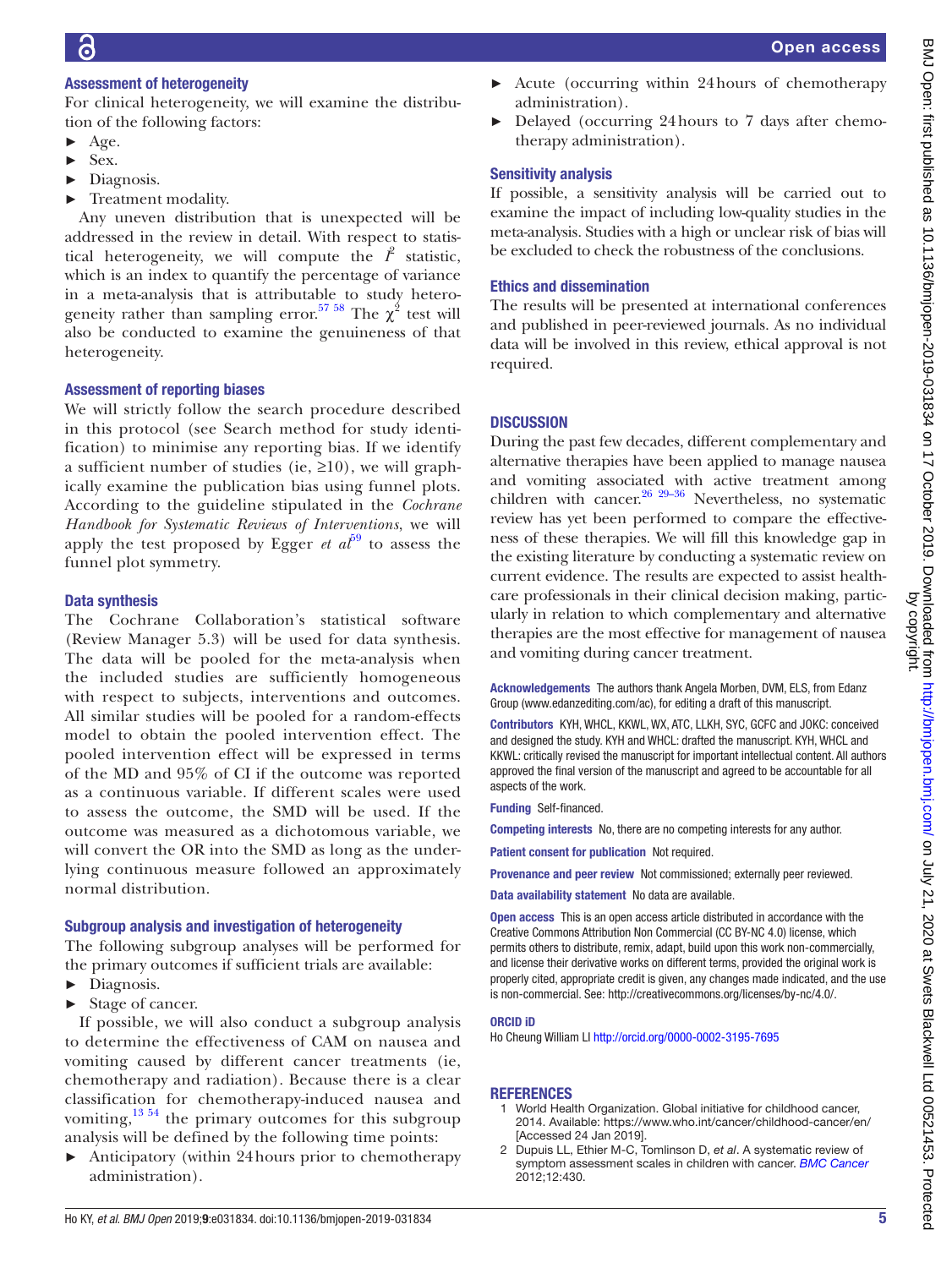# Assessment of heterogeneity

For clinical heterogeneity, we will examine the distribution of the following factors:

- Age.
- Sex.
- Diagnosis.
- ► Treatment modality.

Any uneven distribution that is unexpected will be addressed in the review in detail. With respect to statistical heterogeneity, we will compute the  $\hat{I}^2$  statistic, which is an index to quantify the percentage of variance in a meta-analysis that is attributable to study heterogeneity rather than sampling error.<sup>57</sup> <sup>58</sup> The  $\chi^2$  test will also be conducted to examine the genuineness of that heterogeneity.

#### Assessment of reporting biases

We will strictly follow the search procedure described in this protocol (see Search method for study identification) to minimise any reporting bias. If we identify a sufficient number of studies (ie,  $\geq 10$ ), we will graphically examine the publication bias using funnel plots. According to the guideline stipulated in the *Cochrane Handbook for Systematic Reviews of Interventions*, we will apply the test proposed by Egger *et*  $a\bar{b}^9$  to assess the funnel plot symmetry.

#### Data synthesis

The Cochrane Collaboration's statistical software (Review Manager 5.3) will be used for data synthesis. The data will be pooled for the meta-analysis when the included studies are sufficiently homogeneous with respect to subjects, interventions and outcomes. All similar studies will be pooled for a random-effects model to obtain the pooled intervention effect. The pooled intervention effect will be expressed in terms of the MD and 95% of CI if the outcome was reported as a continuous variable. If different scales were used to assess the outcome, the SMD will be used. If the outcome was measured as a dichotomous variable, we will convert the OR into the SMD as long as the underlying continuous measure followed an approximately normal distribution.

#### Subgroup analysis and investigation of heterogeneity

The following subgroup analyses will be performed for the primary outcomes if sufficient trials are available:

- ► Diagnosis.
- ► Stage of cancer.

If possible, we will also conduct a subgroup analysis to determine the effectiveness of CAM on nausea and vomiting caused by different cancer treatments (ie, chemotherapy and radiation). Because there is a clear classification for chemotherapy-induced nausea and vomiting, $^{13\,54}$  the primary outcomes for this subgroup analysis will be defined by the following time points:

► Anticipatory (within 24hours prior to chemotherapy administration).

- Acute (occurring within 24 hours of chemotherapy administration).
- ► Delayed (occurring 24hours to 7 days after chemotherapy administration).

## Sensitivity analysis

If possible, a sensitivity analysis will be carried out to examine the impact of including low-quality studies in the meta-analysis. Studies with a high or unclear risk of bias will be excluded to check the robustness of the conclusions.

## Ethics and dissemination

The results will be presented at international conferences and published in peer-reviewed journals. As no individual data will be involved in this review, ethical approval is not required.

# **DISCUSSION**

During the past few decades, different complementary and alternative therapies have been applied to manage nausea and vomiting associated with active treatment among children with cancer.<sup>26</sup> <sup>29–36</sup> Nevertheless, no systematic review has yet been performed to compare the effectiveness of these therapies. We will fill this knowledge gap in the existing literature by conducting a systematic review on current evidence. The results are expected to assist healthcare professionals in their clinical decision making, particularly in relation to which complementary and alternative therapies are the most effective for management of nausea and vomiting during cancer treatment.

Acknowledgements The authors thank Angela Morben, DVM, ELS, from Edanz Group (www.edanzediting.com/ac), for editing a draft of this manuscript.

Contributors KYH, WHCL, KKWL, WX, ATC, LLKH, SYC, GCFC and JOKC: conceived and designed the study. KYH and WHCL: drafted the manuscript. KYH, WHCL and KKWL: critically revised the manuscript for important intellectual content. All authors approved the final version of the manuscript and agreed to be accountable for all aspects of the work.

Funding Self-financed.

Competing interests No, there are no competing interests for any author.

Patient consent for publication Not required.

Provenance and peer review Not commissioned; externally peer reviewed.

Data availability statement No data are available.

Open access This is an open access article distributed in accordance with the Creative Commons Attribution Non Commercial (CC BY-NC 4.0) license, which permits others to distribute, remix, adapt, build upon this work non-commercially, and license their derivative works on different terms, provided the original work is properly cited, appropriate credit is given, any changes made indicated, and the use is non-commercial. See: [http://creativecommons.org/licenses/by-nc/4.0/.](http://creativecommons.org/licenses/by-nc/4.0/)

#### ORCID iD

Ho Cheung William LI<http://orcid.org/0000-0002-3195-7695>

#### **REFERENCES**

- <span id="page-4-0"></span>1 World Health Organization. Global initiative for childhood cancer, 2014. Available: <https://www.who.int/cancer/childhood-cancer/en/> [Accessed 24 Jan 2019].
- <span id="page-4-1"></span>2 Dupuis LL, Ethier M-C, Tomlinson D, *et al*. A systematic review of symptom assessment scales in children with cancer. *[BMC Cancer](http://dx.doi.org/10.1186/1471-2407-12-430)* 2012;12:430.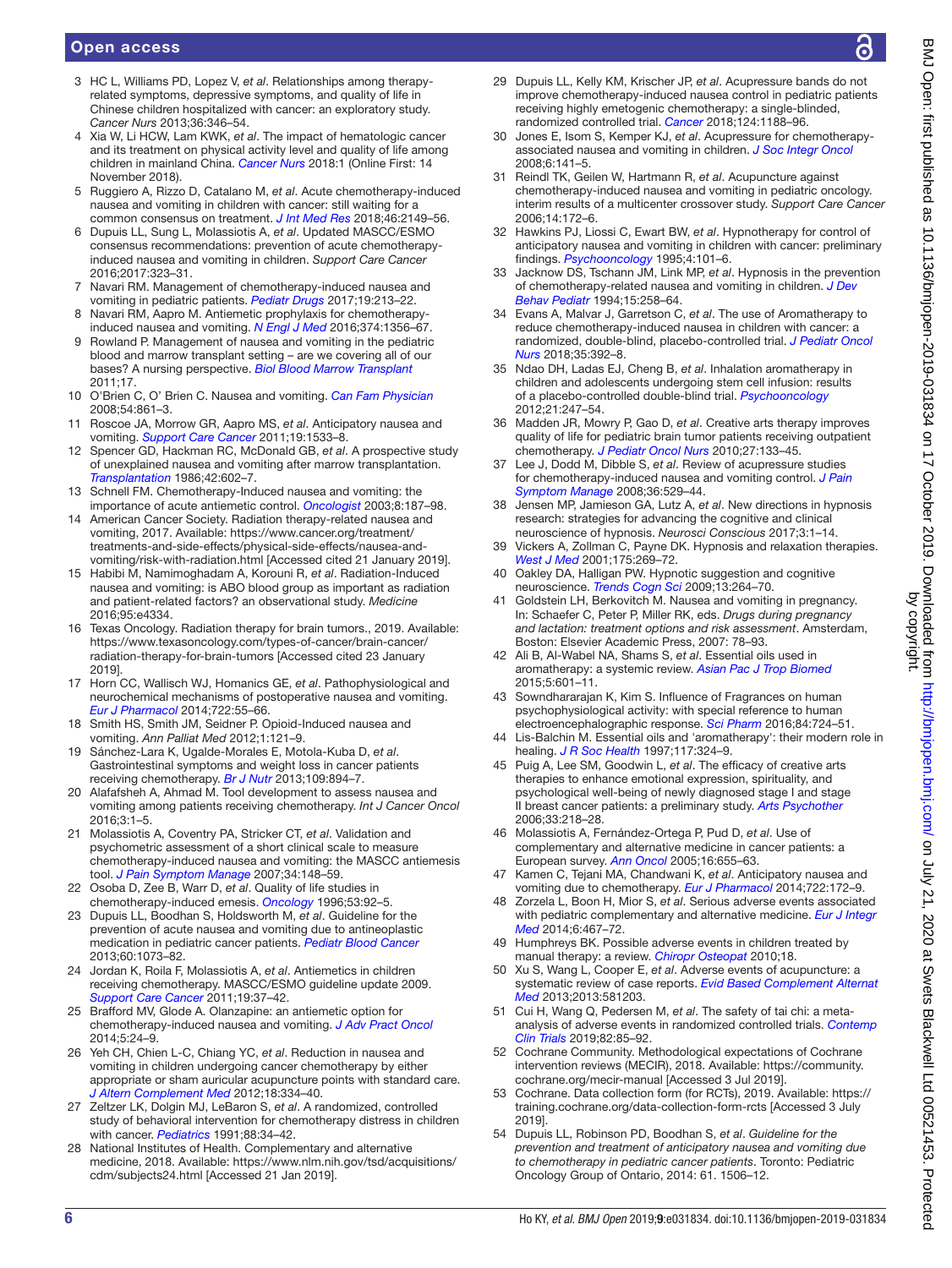## Open access

- <span id="page-5-0"></span>3 HC L, Williams PD, Lopez V, *et al*. Relationships among therapyrelated symptoms, depressive symptoms, and quality of life in Chinese children hospitalized with cancer: an exploratory study. *Cancer Nurs* 2013;36:346–54.
- 4 Xia W, Li HCW, Lam KWK, *et al*. The impact of hematologic cancer and its treatment on physical activity level and quality of life among children in mainland China. *[Cancer Nurs](http://dx.doi.org/10.1097/NCC.0000000000000661)* 2018:1 (Online First: 14 November 2018).
- <span id="page-5-1"></span>5 Ruggiero A, Rizzo D, Catalano M, *et al*. Acute chemotherapy-induced nausea and vomiting in children with cancer: still waiting for a common consensus on treatment. *[J Int Med Res](http://dx.doi.org/10.1177/0300060518765324)* 2018;46:2149–56.
- <span id="page-5-2"></span>6 Dupuis LL, Sung L, Molassiotis A, *et al*. Updated MASCC/ESMO consensus recommendations: prevention of acute chemotherapyinduced nausea and vomiting in children. *Support Care Cancer* 2016;2017:323–31.
- <span id="page-5-3"></span>7 Navari RM. Management of chemotherapy-induced nausea and vomiting in pediatric patients. *[Pediatr Drugs](http://dx.doi.org/10.1007/s40272-017-0228-2)* 2017;19:213–22.
- 8 Navari RM, Aapro M. Antiemetic prophylaxis for chemotherapyinduced nausea and vomiting. *[N Engl J Med](http://dx.doi.org/10.1056/NEJMra1515442)* 2016;374:1356–67.
- <span id="page-5-4"></span>9 Rowland P. Management of nausea and vomiting in the pediatric blood and marrow transplant setting – are we covering all of our bases? A nursing perspective. *[Biol Blood Marrow Transplant](http://dx.doi.org/10.1016/j.bbmt.2010.12.649)* 2011;17.
- <span id="page-5-5"></span>10 O'Brien C, O' Brien C. Nausea and vomiting. *[Can Fam Physician](http://www.ncbi.nlm.nih.gov/pubmed/18556493)* 2008;54:861–3.
- <span id="page-5-6"></span>11 Roscoe JA, Morrow GR, Aapro MS, *et al*. Anticipatory nausea and vomiting. *[Support Care Cancer](http://dx.doi.org/10.1007/s00520-010-0980-0)* 2011;19:1533–8.
- <span id="page-5-7"></span>12 Spencer GD, Hackman RC, McDonald GB, *et al*. A prospective study of unexplained nausea and vomiting after marrow transplantation. *[Transplantation](http://dx.doi.org/10.1097/00007890-198612000-00006)* 1986;42:602–7.
- <span id="page-5-8"></span>13 Schnell FM. Chemotherapy-Induced nausea and vomiting: the importance of acute antiemetic control. *[Oncologist](http://dx.doi.org/10.1634/theoncologist.8-2-187)* 2003;8:187–98.
- <span id="page-5-9"></span>14 American Cancer Society. Radiation therapy-related nausea and vomiting, 2017. Available: [https://www.cancer.org/treatment/](https://www.cancer.org/treatment/treatments-and-side-effects/physical-side-effects/nausea-and-vomiting/risk-with-radiation.html) [treatments-and-side-effects/physical-side-effects/nausea-and](https://www.cancer.org/treatment/treatments-and-side-effects/physical-side-effects/nausea-and-vomiting/risk-with-radiation.html)[vomiting/risk-with-radiation.html](https://www.cancer.org/treatment/treatments-and-side-effects/physical-side-effects/nausea-and-vomiting/risk-with-radiation.html) [Accessed cited 21 January 2019].
- <span id="page-5-10"></span>15 Habibi M, Namimoghadam A, Korouni R, *et al*. Radiation-Induced nausea and vomiting: is ABO blood group as important as radiation and patient-related factors? an observational study. *Medicine* 2016;95:e4334.
- <span id="page-5-11"></span>16 Texas Oncology. Radiation therapy for brain tumors., 2019. Available: [https://www.texasoncology.com/types-of-cancer/brain-cancer/](https://www.texasoncology.com/types-of-cancer/brain-cancer/radiation-therapy-for-brain-tumors) [radiation-therapy-for-brain-tumors](https://www.texasoncology.com/types-of-cancer/brain-cancer/radiation-therapy-for-brain-tumors) [Accessed cited 23 January 2019].
- <span id="page-5-12"></span>17 Horn CC, Wallisch WJ, Homanics GE, *et al*. Pathophysiological and neurochemical mechanisms of postoperative nausea and vomiting. *[Eur J Pharmacol](http://dx.doi.org/10.1016/j.ejphar.2013.10.037)* 2014;722:55–66.
- <span id="page-5-13"></span>18 Smith HS, Smith JM, Seidner P. Opioid-Induced nausea and vomiting. *Ann Palliat Med* 2012;1:121–9.
- <span id="page-5-14"></span>19 Sánchez-Lara K, Ugalde-Morales E, Motola-Kuba D, *et al*. Gastrointestinal symptoms and weight loss in cancer patients receiving chemotherapy. *[Br J Nutr](http://dx.doi.org/10.1017/S0007114512002073)* 2013;109:894–7.
- <span id="page-5-15"></span>20 Alafafsheh A, Ahmad M. Tool development to assess nausea and vomiting among patients receiving chemotherapy. *Int J Cancer Oncol* 2016;3:1–5.
- <span id="page-5-16"></span>21 Molassiotis A, Coventry PA, Stricker CT, *et al*. Validation and psychometric assessment of a short clinical scale to measure chemotherapy-induced nausea and vomiting: the MASCC antiemesis tool. *[J Pain Symptom Manage](http://dx.doi.org/10.1016/j.jpainsymman.2006.10.018)* 2007;34:148–59.
- <span id="page-5-17"></span>22 Osoba D, Zee B, Warr D, *et al*. Quality of life studies in chemotherapy-induced emesis. *[Oncology](http://dx.doi.org/10.1159/000227647)* 1996;53:92–5.
- <span id="page-5-18"></span>23 Dupuis LL, Boodhan S, Holdsworth M, *et al*. Guideline for the prevention of acute nausea and vomiting due to antineoplastic medication in pediatric cancer patients. *[Pediatr Blood Cancer](http://dx.doi.org/10.1002/pbc.24508)* 2013;60:1073–82.
- 24 Jordan K, Roila F, Molassiotis A, *et al*. Antiemetics in children receiving chemotherapy. MASCC/ESMO guideline update 2009. *[Support Care Cancer](http://dx.doi.org/10.1007/s00520-010-0994-7)* 2011;19:37–42.
- <span id="page-5-19"></span>25 Brafford MV, Glode A. Olanzapine: an antiemetic option for chemotherapy-induced nausea and vomiting. *[J Adv Pract Oncol](http://www.ncbi.nlm.nih.gov/pubmed/25032030)* 2014;5:24–9.
- <span id="page-5-20"></span>26 Yeh CH, Chien L-C, Chiang YC, *et al*. Reduction in nausea and vomiting in children undergoing cancer chemotherapy by either appropriate or sham auricular acupuncture points with standard care. *[J Altern Complement Med](http://dx.doi.org/10.1089/acm.2011.0102)* 2012;18:334–40.
- <span id="page-5-21"></span>27 Zeltzer LK, Dolgin MJ, LeBaron S, *et al*. A randomized, controlled study of behavioral intervention for chemotherapy distress in children with cancer. *[Pediatrics](http://www.ncbi.nlm.nih.gov/pubmed/2057271)* 1991;88:34–42.
- <span id="page-5-22"></span>28 National Institutes of Health. Complementary and alternative medicine, 2018. Available: [https://www.nlm.nih.gov/tsd/acquisitions/](https://www.nlm.nih.gov/tsd/acquisitions/cdm/subjects24.html) [cdm/subjects24.html](https://www.nlm.nih.gov/tsd/acquisitions/cdm/subjects24.html) [Accessed 21 Jan 2019].
- <span id="page-5-28"></span>29 Dupuis LL, Kelly KM, Krischer JP, *et al*. Acupressure bands do not improve chemotherapy-induced nausea control in pediatric patients receiving highly emetogenic chemotherapy: a single-blinded, randomized controlled trial. *[Cancer](http://dx.doi.org/10.1002/cncr.31198)* 2018;124:1188–96.
- 30 Jones E, Isom S, Kemper KJ, *et al*. Acupressure for chemotherapyassociated nausea and vomiting in children. *[J Soc Integr Oncol](http://www.ncbi.nlm.nih.gov/pubmed/19134445)* 2008;6:141–5.
- <span id="page-5-23"></span>31 Reindl TK, Geilen W, Hartmann R, *et al*. Acupuncture against chemotherapy-induced nausea and vomiting in pediatric oncology. interim results of a multicenter crossover study. *Support Care Cancer* 2006;14:172–6.
- <span id="page-5-24"></span>32 Hawkins PJ, Liossi C, Ewart BW, *et al*. Hypnotherapy for control of anticipatory nausea and vomiting in children with cancer: preliminary findings. *[Psychooncology](http://dx.doi.org/10.1002/pon.2960040203)* 1995;4:101–6.
- 33 Jacknow DS, Tschann JM, Link MP, *et al*. Hypnosis in the prevention of chemotherapy-related nausea and vomiting in children. *[J Dev](http://dx.doi.org/10.1097/00004703-199408000-00007)  [Behav Pediatr](http://dx.doi.org/10.1097/00004703-199408000-00007)* 1994;15:258–64.
- <span id="page-5-25"></span>34 Evans A, Malvar J, Garretson C, *et al*. The use of Aromatherapy to reduce chemotherapy-induced nausea in children with cancer: a randomized, double-blind, placebo-controlled trial. *[J Pediatr Oncol](http://dx.doi.org/10.1177/1043454218782133)  [Nurs](http://dx.doi.org/10.1177/1043454218782133)* 2018;35:392–8.
- 35 Ndao DH, Ladas EJ, Cheng B, *et al*. Inhalation aromatherapy in children and adolescents undergoing stem cell infusion: results of a placebo-controlled double-blind trial. *[Psychooncology](http://dx.doi.org/10.1002/pon.1898)* 2012;21:247–54.
- <span id="page-5-26"></span>36 Madden JR, Mowry P, Gao D, *et al*. Creative arts therapy improves quality of life for pediatric brain tumor patients receiving outpatient chemotherapy. *[J Pediatr Oncol Nurs](http://dx.doi.org/10.1177/1043454209355452)* 2010;27:133–45.
- <span id="page-5-27"></span>37 Lee J, Dodd M, Dibble S, *et al*. Review of acupressure studies for chemotherapy-induced nausea and vomiting control. *[J Pain](http://dx.doi.org/10.1016/j.jpainsymman.2007.10.019)  [Symptom Manage](http://dx.doi.org/10.1016/j.jpainsymman.2007.10.019)* 2008;36:529–44.
- <span id="page-5-29"></span>38 Jensen MP, Jamieson GA, Lutz A, *et al*. New directions in hypnosis research: strategies for advancing the cognitive and clinical neuroscience of hypnosis. *Neurosci Conscious* 2017;3:1–14.
- <span id="page-5-30"></span>39 Vickers A, Zollman C, Payne DK. Hypnosis and relaxation therapies. *[West J Med](http://dx.doi.org/10.1136/ewjm.175.4.269)* 2001;175:269–72.
- <span id="page-5-31"></span>40 Oakley DA, Halligan PW. Hypnotic suggestion and cognitive neuroscience. *[Trends Cogn Sci](http://dx.doi.org/10.1016/j.tics.2009.03.004)* 2009;13:264–70.
- <span id="page-5-32"></span>41 Goldstein LH, Berkovitch M. Nausea and vomiting in pregnancy. In: Schaefer C, Peter P, Miller RK, eds. *Drugs during pregnancy and lactation: treatment options and risk assessment*. Amsterdam, Boston: Elsevier Academic Press, 2007: 78–93.
- <span id="page-5-33"></span>42 Ali B, Al-Wabel NA, Shams S, *et al*. Essential oils used in aromatherapy: a systemic review. *[Asian Pac J Trop Biomed](http://dx.doi.org/10.1016/j.apjtb.2015.05.007)* 2015;5:601–11.
- <span id="page-5-34"></span>43 Sowndhararajan K, Kim S. Influence of Fragrances on human psychophysiological activity: with special reference to human electroencephalographic response. *[Sci Pharm](http://dx.doi.org/10.3390/scipharm84040724)* 2016;84:724–51.
- <span id="page-5-35"></span>44 Lis-Balchin M. Essential oils and 'aromatherapy': their modern role in healing. *[J R Soc Health](http://dx.doi.org/10.1177/146642409711700511)* 1997;117:324–9.
- 45 Puig A, Lee SM, Goodwin L, *et al*. The efficacy of creative arts therapies to enhance emotional expression, spirituality, and psychological well-being of newly diagnosed stage I and stage II breast cancer patients: a preliminary study. *[Arts Psychother](http://dx.doi.org/10.1016/j.aip.2006.02.004)* 2006;33:218–28.
- <span id="page-5-36"></span>46 Molassiotis A, Fernández-Ortega P, Pud D, *et al*. Use of complementary and alternative medicine in cancer patients: a European survey. *[Ann Oncol](http://dx.doi.org/10.1093/annonc/mdi110)* 2005;16:655–63.
- <span id="page-5-37"></span>47 Kamen C, Tejani MA, Chandwani K, *et al*. Anticipatory nausea and vomiting due to chemotherapy. *[Eur J Pharmacol](http://dx.doi.org/10.1016/j.ejphar.2013.09.071)* 2014;722:172–9.
- <span id="page-5-38"></span>48 Zorzela L, Boon H, Mior S, *et al*. Serious adverse events associated with pediatric complementary and alternative medicine. *[Eur J Integr](http://dx.doi.org/10.1016/j.eujim.2014.05.001)  [Med](http://dx.doi.org/10.1016/j.eujim.2014.05.001)* 2014;6:467–72.
- <span id="page-5-39"></span>49 Humphreys BK. Possible adverse events in children treated by manual therapy: a review. *[Chiropr Osteopat](http://dx.doi.org/10.1186/1746-1340-18-12)* 2010;18.
- 50 Xu S, Wang L, Cooper E, *et al*. Adverse events of acupuncture: a systematic review of case reports. *[Evid Based Complement Alternat](http://dx.doi.org/10.1155/2013/581203)  [Med](http://dx.doi.org/10.1155/2013/581203)* 2013;2013:581203.
- <span id="page-5-40"></span>51 Cui H, Wang Q, Pedersen M, *et al*. The safety of tai chi: a metaanalysis of adverse events in randomized controlled trials. *[Contemp](http://dx.doi.org/10.1016/j.cct.2019.06.004)  [Clin Trials](http://dx.doi.org/10.1016/j.cct.2019.06.004)* 2019;82:85–92.
- <span id="page-5-41"></span>52 Cochrane Community. Methodological expectations of Cochrane intervention reviews (MECIR), 2018. Available: [https://community.](https://community.cochrane.org/mecir-manual) [cochrane.org/mecir-manual](https://community.cochrane.org/mecir-manual) [Accessed 3 Jul 2019].
- <span id="page-5-42"></span>53 Cochrane. Data collection form (for RCTs), 2019. Available: [https://](https://training.cochrane.org/data-collection-form-rcts) [training.cochrane.org/data-collection-form-rcts](https://training.cochrane.org/data-collection-form-rcts) [Accessed 3 July 2019].
- 54 Dupuis LL, Robinson PD, Boodhan S, *et al*. *[Guideline for the](http://dx.doi.org/10.1002/pbc.25063)  [prevention and treatment of anticipatory nausea and vomiting due](http://dx.doi.org/10.1002/pbc.25063)  [to chemotherapy in pediatric cancer patients](http://dx.doi.org/10.1002/pbc.25063)*. Toronto: Pediatric Oncology Group of Ontario, 2014: 61. 1506–12.